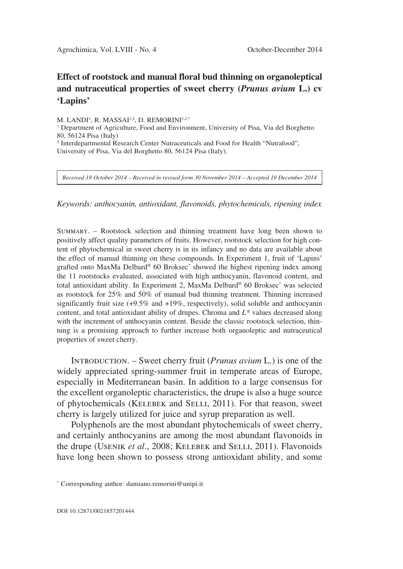## **Effect of rootstock and manual floral bud thinning on organoleptical and nutraceutical properties of sweet cherry (***Prunus avium* **L.) cv 'Lapins'**

M. LANDI<sup>1</sup>, R. MASSAI<sup>1,2</sup>, D. REMORINI<sup>1,2,\*</sup>

<sup>1</sup> Department of Agriculture, Food and Environment, University of Pisa, Via del Borghetto 80, 56124 Pisa (Italy)

<sup>2</sup> Interdepartmental Research Center Nutraceuticals and Food for Health "Nutrafood", University of Pisa, Via del Borghetto 80, 56124 Pisa (Italy).

*Received 18 October 2014 – Received in revised form 30 November 2014 – Accepted 19 December 2014*

*Keywords: anthocyanin, antioxidant, flavonoids, phytochemicals, ripening index*

Summary. – Rootstock selection and thinning treatment have long been shown to positively affect quality parameters of fruits. However, rootstock selection for high content of phytochemical in sweet cherry is in its infancy and no data are available about the effect of manual thinning on these compounds. In Experiment 1, fruit of 'Lapins' grafted onto MaxMa Delbard® 60 Broksec\* showed the highest ripening index among the 11 rootstocks evaluated, associated with high anthocyanin, flavonoid content, and total antioxidant ability. In Experiment 2, MaxMa Delbard® 60 Broksec\* was selected as rootstock for 25% and 50% of manual bud thinning treatment. Thinning increased significantly fruit size (+9.5% and +19%, respectively), solid soluble and anthocyanin content, and total antioxidant ability of drupes. Chroma and *L\** values decreased along with the increment of anthocyanin content. Beside the classic rootstock selection, thinning is a promising approach to further increase both organoleptic and nutraceutical properties of sweet cherry.

Introduction. – Sweet cherry fruit (*Prunus avium* L.) is one of the widely appreciated spring-summer fruit in temperate areas of Europe, especially in Mediterranean basin. In addition to a large consensus for the excellent organoleptic characteristics, the drupe is also a huge source of phytochemicals (Kelebek and Selli, 2011). For that reason, sweet cherry is largely utilized for juice and syrup preparation as well.

Polyphenols are the most abundant phytochemicals of sweet cherry, and certainly anthocyanins are among the most abundant flavonoids in the drupe (Usenik *et al*., 2008; Kelebek and Selli, 2011). Flavonoids have long been shown to possess strong antioxidant ability, and some

<sup>\*</sup> Corresponding author: damiano.remorini@unipi.it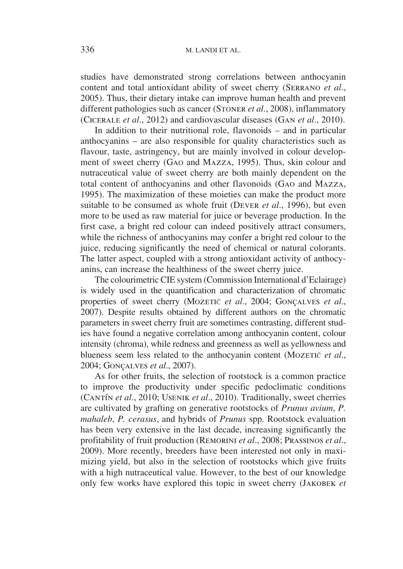studies have demonstrated strong correlations between anthocyanin content and total antioxidant ability of sweet cherry (Serrano *et al*., 2005). Thus, their dietary intake can improve human health and prevent different pathologies such as cancer (Stoner *et al*., 2008), inflammatory (Cicerale *et al*., 2012) and cardiovascular diseases (Gan *et al*., 2010).

In addition to their nutritional role, flavonoids – and in particular anthocyanins – are also responsible for quality characteristics such as flavour, taste, astringency, but are mainly involved in colour development of sweet cherry (Gao and Mazza, 1995). Thus, skin colour and nutraceutical value of sweet cherry are both mainly dependent on the total content of anthocyanins and other flavonoids (Gao and Mazza, 1995). The maximization of these moieties can make the product more suitable to be consumed as whole fruit (Dever *et al*., 1996), but even more to be used as raw material for juice or beverage production. In the first case, a bright red colour can indeed positively attract consumers, while the richness of anthocyanins may confer a bright red colour to the juice, reducing significantly the need of chemical or natural colorants. The latter aspect, coupled with a strong antioxidant activity of anthocyanins, can increase the healthiness of the sweet cherry juice.

The colourimetric CIE system (Commission International d'Eclairage) is widely used in the quantification and characterization of chromatic properties of sweet cherry (MOZETIČ *et al.*, 2004; GONÇALVES *et al.*, 2007). Despite results obtained by different authors on the chromatic parameters in sweet cherry fruit are sometimes contrasting, different studies have found a negative correlation among anthocyanin content, colour intensity (chroma), while redness and greenness as well as yellowness and blueness seem less related to the anthocyanin content (Mozerič *et al.*, 2004; Gonçalves *et al*., 2007).

As for other fruits, the selection of rootstock is a common practice to improve the productivity under specific pedoclimatic conditions (Cantín *et al*., 2010; Usenik *et al*., 2010). Traditionally, sweet cherries are cultivated by grafting on generative rootstocks of *Prunus avium*, *P. mahaleb*, *P. cerasus*, and hybrids of *Prunus* spp. Rootstock evaluation has been very extensive in the last decade, increasing significantly the profitability of fruit production (Remorini *et al*., 2008; Prassinos *et al*., 2009). More recently, breeders have been interested not only in maximizing yield, but also in the selection of rootstocks which give fruits with a high nutraceutical value. However, to the best of our knowledge only few works have explored this topic in sweet cherry (Jakobek *et*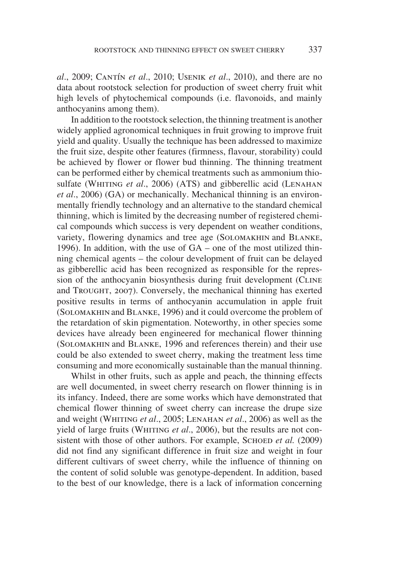*al*., 2009; Cantín *et al*., 2010; Usenik *et al*., 2010), and there are no data about rootstock selection for production of sweet cherry fruit whit high levels of phytochemical compounds (i.e. flavonoids, and mainly anthocyanins among them).

In addition to the rootstock selection, the thinning treatment is another widely applied agronomical techniques in fruit growing to improve fruit yield and quality. Usually the technique has been addressed to maximize the fruit size, despite other features (firmness, flavour, storability) could be achieved by flower or flower bud thinning. The thinning treatment can be performed either by chemical treatments such as ammonium thiosulfate (WHITING *et al.*, 2006) (ATS) and gibberellic acid (LENAHAN *et al*., 2006) (GA) or mechanically. Mechanical thinning is an environmentally friendly technology and an alternative to the standard chemical thinning, which is limited by the decreasing number of registered chemical compounds which success is very dependent on weather conditions, variety, flowering dynamics and tree age (Solomakhin and Blanke, 1996). In addition, with the use of GA – one of the most utilized thinning chemical agents – the colour development of fruit can be delayed as gibberellic acid has been recognized as responsible for the repression of the anthocyanin biosynthesis during fruit development (CLINE and Trought, 2007). Conversely, the mechanical thinning has exerted positive results in terms of anthocyanin accumulation in apple fruit (Solomakhinand Blanke, 1996) and it could overcome the problem of the retardation of skin pigmentation. Noteworthy, in other species some devices have already been engineered for mechanical flower thinning (Solomakhin and Blanke, 1996 and references therein) and their use could be also extended to sweet cherry, making the treatment less time consuming and more economically sustainable than the manual thinning.

Whilst in other fruits, such as apple and peach, the thinning effects are well documented, in sweet cherry research on flower thinning is in its infancy. Indeed, there are some works which have demonstrated that chemical flower thinning of sweet cherry can increase the drupe size and weight (Whiting *et al*., 2005; Lenahan *et al*., 2006) as well as the yield of large fruits (WHITING *et al.*, 2006), but the results are not consistent with those of other authors. For example, SCHOED *et al.* (2009) did not find any significant difference in fruit size and weight in four different cultivars of sweet cherry, while the influence of thinning on the content of solid soluble was genotype-dependent. In addition, based to the best of our knowledge, there is a lack of information concerning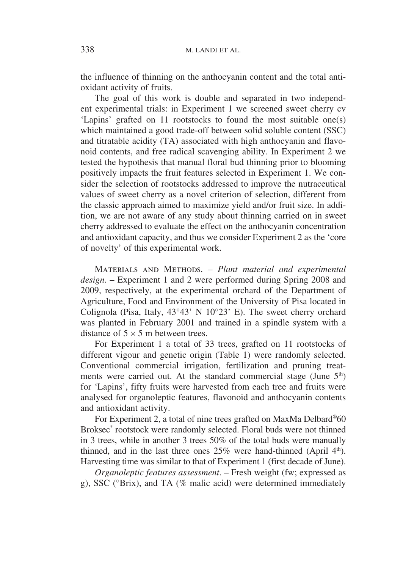the influence of thinning on the anthocyanin content and the total antioxidant activity of fruits.

The goal of this work is double and separated in two independent experimental trials: in Experiment 1 we screened sweet cherry cv 'Lapins' grafted on 11 rootstocks to found the most suitable one(s) which maintained a good trade-off between solid soluble content (SSC) and titratable acidity (TA) associated with high anthocyanin and flavonoid contents, and free radical scavenging ability. In Experiment 2 we tested the hypothesis that manual floral bud thinning prior to blooming positively impacts the fruit features selected in Experiment 1. We consider the selection of rootstocks addressed to improve the nutraceutical values of sweet cherry as a novel criterion of selection, different from the classic approach aimed to maximize yield and/or fruit size. In addition, we are not aware of any study about thinning carried on in sweet cherry addressed to evaluate the effect on the anthocyanin concentration and antioxidant capacity, and thus we consider Experiment 2 as the 'core of novelty' of this experimental work.

Materials and Methods. – *Plant material and experimental design*. – Experiment 1 and 2 were performed during Spring 2008 and 2009, respectively, at the experimental orchard of the Department of Agriculture, Food and Environment of the University of Pisa located in Colignola (Pisa, Italy, 43°43' N 10°23' E). The sweet cherry orchard was planted in February 2001 and trained in a spindle system with a distance of  $5 \times 5$  m between trees.

For Experiment 1 a total of 33 trees, grafted on 11 rootstocks of different vigour and genetic origin (Table 1) were randomly selected. Conventional commercial irrigation, fertilization and pruning treatments were carried out. At the standard commercial stage (June  $5<sup>th</sup>$ ) for 'Lapins', fifty fruits were harvested from each tree and fruits were analysed for organoleptic features, flavonoid and anthocyanin contents and antioxidant activity.

For Experiment 2, a total of nine trees grafted on MaxMa Delbard®60 Broksec\* rootstock were randomly selected. Floral buds were not thinned in 3 trees, while in another 3 trees 50% of the total buds were manually thinned, and in the last three ones  $25\%$  were hand-thinned (April  $4<sup>th</sup>$ ). Harvesting time was similar to that of Experiment 1 (first decade of June).

*Organoleptic features assessment*. – Fresh weight (fw; expressed as g), SSC (°Brix), and TA (% malic acid) were determined immediately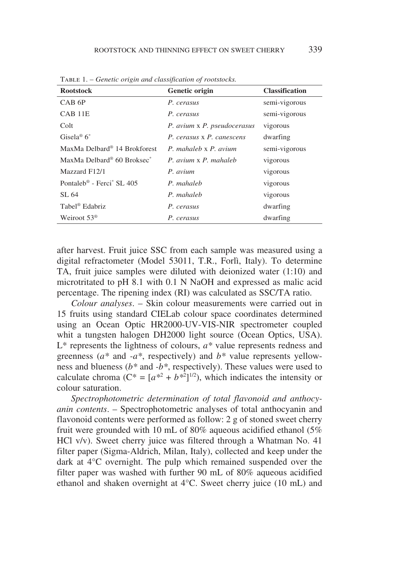| <b>Rootstock</b>                                   | Genetic origin              | <b>Classification</b> |
|----------------------------------------------------|-----------------------------|-----------------------|
| CAB <sub>6P</sub>                                  | P. cerasus                  | semi-vigorous         |
| CAB 11E                                            | P. cerasus                  | semi-vigorous         |
| Colt                                               | P. avium x P. pseudocerasus | vigorous              |
| Gisela® $6^*$                                      | P. cerasus x P. canescens   | dwarfing              |
| MaxMa Delbard <sup>®</sup> 14 Brokforest           | P. mahaleb x P. avium       | semi-vigorous         |
| MaxMa Delbard <sup>®</sup> 60 Broksec <sup>*</sup> | P. avium x P. mahaleb       | vigorous              |
| Mazzard F12/1                                      | P. avium                    | vigorous              |
| Pontaleb <sup>®</sup> - Ferci <sup>*</sup> SL 405  | P. mahaleb                  | vigorous              |
| SL 64                                              | P. mahaleb                  | vigorous              |
| Tabel <sup>®</sup> Edabriz                         | P. cerasus                  | dwarfing              |
| Weiroot $53^{\circ}$                               | P. cerasus                  | dwarfing              |

Table 1. – *Genetic origin and classification of rootstocks.*

after harvest. Fruit juice SSC from each sample was measured using a digital refractometer (Model 53011, T.R., Forlì, Italy). To determine TA, fruit juice samples were diluted with deionized water (1:10) and microtritated to pH 8.1 with 0.1 N NaOH and expressed as malic acid percentage. The ripening index (RI) was calculated as SSC/TA ratio.

*Colour analyses*. – Skin colour measurements were carried out in 15 fruits using standard CIELab colour space coordinates determined using an Ocean Optic HR2000-UV-VIS-NIR spectrometer coupled whit a tungsten halogen DH2000 light source (Ocean Optics, USA). L\* represents the lightness of colours, *a\** value represents redness and greenness (*a\** and *-a\**, respectively) and *b\** value represents yellowness and blueness (*b\** and *-b\**, respectively). These values were used to calculate chroma  $(C^* = [a^{*2} + b^{*2}]^{1/2})$ , which indicates the intensity or colour saturation.

*Spectrophotometric determination of total flavonoid and anthocyanin contents*. – Spectrophotometric analyses of total anthocyanin and flavonoid contents were performed as follow: 2 g of stoned sweet cherry fruit were grounded with 10 mL of 80% aqueous acidified ethanol (5% HCl v/v). Sweet cherry juice was filtered through a Whatman No. 41 filter paper (Sigma-Aldrich, Milan, Italy), collected and keep under the dark at 4°C overnight. The pulp which remained suspended over the filter paper was washed with further 90 mL of 80% aqueous acidified ethanol and shaken overnight at 4°C. Sweet cherry juice (10 mL) and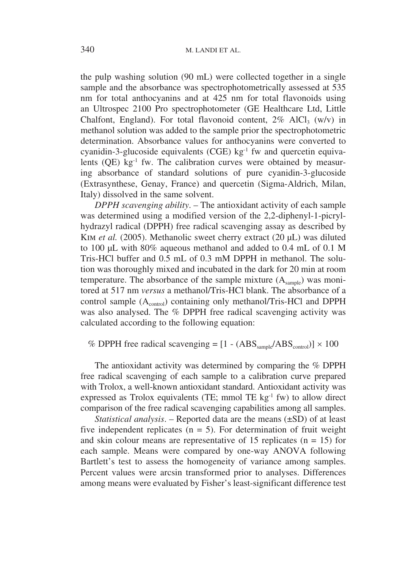the pulp washing solution (90 mL) were collected together in a single sample and the absorbance was spectrophotometrically assessed at 535 nm for total anthocyanins and at 425 nm for total flavonoids using an Ultrospec 2100 Pro spectrophotometer (GE Healthcare Ltd, Little Chalfont, England). For total flavonoid content,  $2\%$  AlCl<sub>3</sub> (w/v) in methanol solution was added to the sample prior the spectrophotometric determination. Absorbance values for anthocyanins were converted to cyanidin-3-glucoside equivalents (CGE)  $kg^{-1}$  fw and quercetin equivalents  $(QE)$  kg<sup>-1</sup> fw. The calibration curves were obtained by measuring absorbance of standard solutions of pure cyanidin-3-glucoside (Extrasynthese, Genay, France) and quercetin (Sigma-Aldrich, Milan, Italy) dissolved in the same solvent.

*DPPH scavenging ability*. – The antioxidant activity of each sample was determined using a modified version of the 2,2-diphenyl-1-picrylhydrazyl radical (DPPH) free radical scavenging assay as described by Kim *et al.* (2005). Methanolic sweet cherry extract (20 μL) was diluted to 100 μL with 80% aqueous methanol and added to 0.4 mL of 0.1 M Tris-HCl buffer and 0.5 mL of 0.3 mM DPPH in methanol. The solution was thoroughly mixed and incubated in the dark for 20 min at room temperature. The absorbance of the sample mixture  $(A_{\text{sample}})$  was monitored at 517 nm *versus* a methanol/Tris-HCl blank. The absorbance of a control sample (A<sub>control</sub>) containing only methanol/Tris-HCl and DPPH was also analysed. The % DPPH free radical scavenging activity was calculated according to the following equation:

## % DPPH free radical scavenging =  $[1 - (ABS_{\text{sample}}/ABS_{\text{control}})] \times 100$

The antioxidant activity was determined by comparing the % DPPH free radical scavenging of each sample to a calibration curve prepared with Trolox, a well-known antioxidant standard. Antioxidant activity was expressed as Trolox equivalents (TE; mmol TE  $kg^{-1}$  fw) to allow direct comparison of the free radical scavenging capabilities among all samples.

*Statistical analysis*. – Reported data are the means (±SD) of at least five independent replicates ( $n = 5$ ). For determination of fruit weight and skin colour means are representative of 15 replicates ( $n = 15$ ) for each sample. Means were compared by one-way ANOVA following Bartlett's test to assess the homogeneity of variance among samples. Percent values were arcsin transformed prior to analyses. Differences among means were evaluated by Fisher's least-significant difference test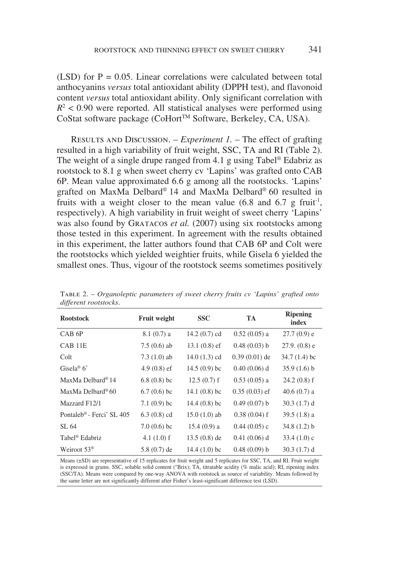(LSD) for  $P = 0.05$ . Linear correlations were calculated between total anthocyanins *versus* total antioxidant ability (DPPH test), and flavonoid content *versus* total antioxidant ability. Only significant correlation with  $R<sup>2</sup> < 0.90$  were reported. All statistical analyses were performed using CoStat software package (CoHort™ Software, Berkeley, CA, USA).

Results and Discussion. – *Experiment 1.* – The effect of grafting resulted in a high variability of fruit weight, SSC, TA and RI (Table 2). The weight of a single drupe ranged from 4.1 g using Tabel® Edabriz as rootstock to 8.1 g when sweet cherry cv 'Lapins' was grafted onto CAB 6P. Mean value approximated 6.6 g among all the rootstocks. 'Lapins' grafted on MaxMa Delbard® 14 and MaxMa Delbard® 60 resulted in fruits with a weight closer to the mean value  $(6.8 \text{ and } 6.7 \text{ g fruit}^{-1})$ , respectively). A high variability in fruit weight of sweet cherry 'Lapins' was also found by GRATACOS *et al.* (2007) using six rootstocks among those tested in this experiment. In agreement with the results obtained in this experiment, the latter authors found that CAB 6P and Colt were the rootstocks which yielded weightier fruits, while Gisela 6 yielded the smallest ones. Thus, vigour of the rootstock seems sometimes positively

| $\alpha$ , $\beta$ . $\alpha$ , $\alpha$ , $\beta$ or $\beta$ . $\beta$ |                     |                 |                 |                          |
|-------------------------------------------------------------------------|---------------------|-----------------|-----------------|--------------------------|
| <b>Rootstock</b>                                                        | <b>Fruit weight</b> | <b>SSC</b>      | <b>TA</b>       | <b>Ripening</b><br>index |
| CAB <sub>6P</sub>                                                       | $8.1(0.7)$ a        | 14.2 $(0.7)$ cd | $0.52(0.05)$ a  | $27.7(0.9)$ e            |
| CAB 11E                                                                 | $7.5(0.6)$ ab       | $13.1(0.8)$ ef  | 0.48(0.03) b    | $27.9. (0.8)$ e          |
| Colt                                                                    | $7.3(1.0)$ ab       | 14.0 $(1.3)$ cd | $0.39(0.01)$ de | $34.7(1.4)$ bc           |
| Gisela <sup>®</sup> $6^*$                                               | $4.9(0.8)$ ef       | $14.5(0.9)$ bc  | $0.40(0.06)$ d  | $35.9(1.6)$ b            |
| MaxMa Delbard <sup>®</sup> 14                                           | $6.8(0.8)$ bc       | $12.5(0.7)$ f   | $0.53(0.05)$ a  | $24.2(0.8)$ f            |
| MaxMa Delbard <sup>®</sup> 60                                           | $6.7(0.6)$ bc       | 14.1 $(0.8)$ bc | $0.35(0.03)$ ef | 40.6 $(0.7)$ a           |
| Mazzard F12/1                                                           | 7.1 $(0.9)$ bc      | 14.4 $(0.8)$ bc | 0.49(0.07) b    | 30.3(1.7) d              |
| Pontaleb <sup>®</sup> - Ferci <sup>*</sup> SL 405                       | $6.3(0.8)$ cd       | $15.0(1.0)$ ab  | $0.38(0.04)$ f  | $39.5(1.8)$ a            |
| SL 64                                                                   | $7.0(0.6)$ bc       | $15.4(0.9)$ a   | $0.44(0.05)$ c  | $34.8(1.2)$ b            |
| Tabel <sup>®</sup> Edabriz                                              | 4.1 $(1.0)$ f       | $13.5(0.8)$ de  | $0.41(0.06)$ d  | 33.4 $(1.0)$ c           |
| Weiroot $53^{\circ}$                                                    | $5.8(0.7)$ de       | 14.4 $(1.0)$ bc | 0.48(0.09) b    | 30.3(1.7) d              |

Table 2. – *Organoleptic parameters of sweet cherry fruits cv 'Lapins' grafted onto different rootstocks*.

Means (±SD) are representative of 15 replicates for fruit weight and 5 replicates for SSC, TA, and RI. Fruit weight is expressed in grams. SSC, soluble solid content (°Brix); TA, titratable acidity (% malic acid); RI, ripening index (SSC/TA). Means were compared by one-way ANOVA with rootstock as source of variability. Means followed by the same letter are not significantly different after Fisher's least-significant difference test (LSD).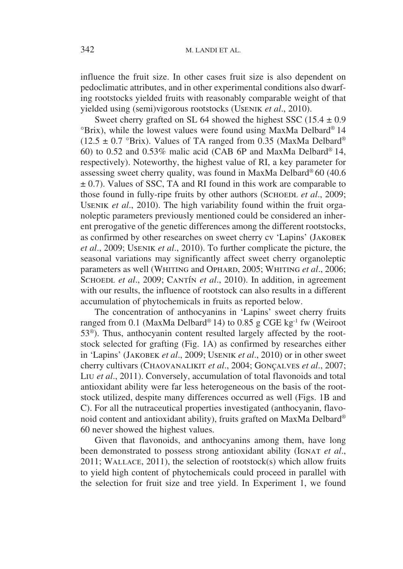influence the fruit size. In other cases fruit size is also dependent on pedoclimatic attributes, and in other experimental conditions also dwarfing rootstocks yielded fruits with reasonably comparable weight of that yielded using (semi)vigorous rootstocks (Usenik *et al*., 2010).

Sweet cherry grafted on SL 64 showed the highest SSC  $(15.4 \pm 0.9)$ °Brix), while the lowest values were found using MaxMa Delbard® 14  $(12.5 \pm 0.7 \text{ °Brix})$ . Values of TA ranged from 0.35 (MaxMa Delbard<sup>®</sup>) 60) to 0.52 and 0.53% malic acid (CAB 6P and MaxMa Delbard® 14, respectively). Noteworthy, the highest value of RI, a key parameter for assessing sweet cherry quality, was found in MaxMa Delbard® 60 (40.6  $\pm$  0.7). Values of SSC, TA and RI found in this work are comparable to those found in fully-ripe fruits by other authors (SCHOEDL *et al.*, 2009; Usenik *et al*., 2010). The high variability found within the fruit organoleptic parameters previously mentioned could be considered an inherent prerogative of the genetic differences among the different rootstocks, as confirmed by other researches on sweet cherry cv 'Lapins' (Jakobek *et al*., 2009; Usenik *et al*., 2010). To further complicate the picture, the seasonal variations may significantly affect sweet cherry organoleptic parameters as well (WHITING and OPHARD, 2005; WHITING *et al.*, 2006; SCHOEDL *et al.*, 2009; CANTÍN *et al.*, 2010). In addition, in agreement with our results, the influence of rootstock can also results in a different accumulation of phytochemicals in fruits as reported below.

The concentration of anthocyanins in 'Lapins' sweet cherry fruits ranged from 0.1 (MaxMa Delbard<sup>®</sup> 14) to 0.85 g CGE kg<sup>-1</sup> fw (Weiroot 53®). Thus, anthocyanin content resulted largely affected by the rootstock selected for grafting (Fig. 1A) as confirmed by researches either in 'Lapins' (Jakobek *et al*., 2009; Usenik *et al*., 2010) or in other sweet cherry cultivars (Chaovanalikit *et al*., 2004; Gonçalves *et al*., 2007; Liu *et al*., 2011). Conversely, accumulation of total flavonoids and total antioxidant ability were far less heterogeneous on the basis of the rootstock utilized, despite many differences occurred as well (Figs. 1B and C). For all the nutraceutical properties investigated (anthocyanin, flavonoid content and antioxidant ability), fruits grafted on MaxMa Delbard® 60 never showed the highest values.

Given that flavonoids, and anthocyanins among them, have long been demonstrated to possess strong antioxidant ability (IGNAT *et al.*, 2011; Wallace, 2011), the selection of rootstock(s) which allow fruits to yield high content of phytochemicals could proceed in parallel with the selection for fruit size and tree yield. In Experiment 1, we found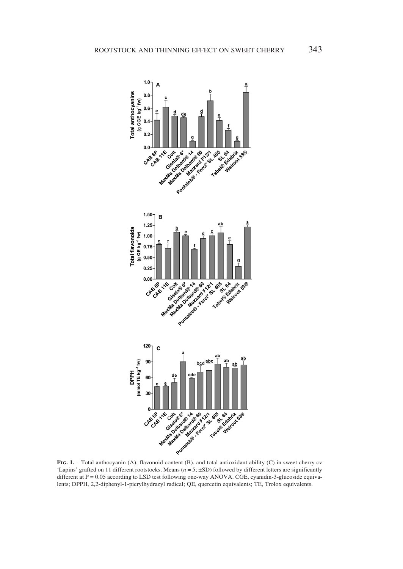

**Fig. 1.** – Total anthocyanin (A), flavonoid content (B), and total antioxidant ability (C) in sweet cherry cv 'Lapins' grafted on 11 different rootstocks. Means (*n* = 5; ±SD) followed by different letters are significantly different at P = 0.05 according to LSD test following one-way ANOVA. CGE, cyanidin-3-glucoside equivalents; DPPH, 2,2-diphenyl-1-picrylhydrazyl radical; QE, quercetin equivalents; TE, Trolox equivalents.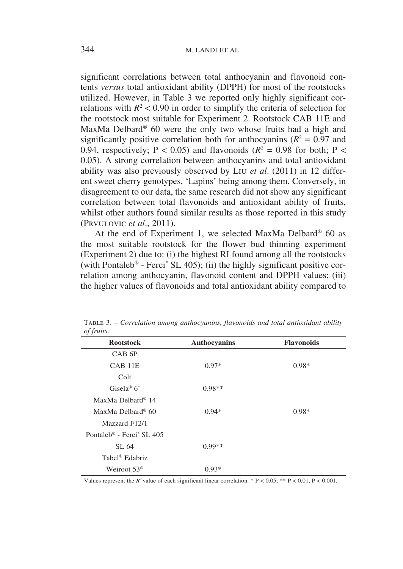significant correlations between total anthocyanin and flavonoid contents *versus* total antioxidant ability (DPPH) for most of the rootstocks utilized. However, in Table 3 we reported only highly significant correlations with  $R^2$  < 0.90 in order to simplify the criteria of selection for the rootstock most suitable for Experiment 2. Rootstock CAB 11E and MaxMa Delbard® 60 were the only two whose fruits had a high and significantly positive correlation both for anthocyanins  $(R^2 = 0.97$  and 0.94, respectively; P < 0.05) and flavonoids  $(R^2 = 0.98$  for both; P < 0.05). A strong correlation between anthocyanins and total antioxidant ability was also previously observed by Liu *et al*. (2011) in 12 different sweet cherry genotypes, 'Lapins' being among them. Conversely, in disagreement to our data, the same research did not show any significant correlation between total flavonoids and antioxidant ability of fruits, whilst other authors found similar results as those reported in this study (Prvulovic *et al*., 2011).

At the end of Experiment 1, we selected MaxMa Delbard® 60 as the most suitable rootstock for the flower bud thinning experiment (Experiment 2) due to: (i) the highest RI found among all the rootstocks (with Pontaleb<sup>®</sup> - Ferci<sup>\*</sup> SL 405); (ii) the highly significant positive correlation among anthocyanin, flavonoid content and DPPH values; (iii) the higher values of flavonoids and total antioxidant ability compared to

| <b>Rootstock</b>                                  | Anthocyanins | <b>Flavonoids</b> |
|---------------------------------------------------|--------------|-------------------|
| CAB <sub>6</sub> P                                |              |                   |
| CAB <sub>11E</sub>                                | $0.97*$      | $0.98*$           |
| Colt                                              |              |                   |
| Gisela <sup>®</sup> $6^*$                         | $0.98**$     |                   |
| MaxMa Delbard <sup>®</sup> 14                     |              |                   |
| MaxMa Delbard <sup>®</sup> 60                     | $0.94*$      | $0.98*$           |
| Mazzard F12/1                                     |              |                   |
| Pontaleb <sup>®</sup> - Ferci <sup>*</sup> SL 405 |              |                   |
| SL 64                                             | $0.99**$     |                   |
| Tabel <sup>®</sup> Edabriz                        |              |                   |
| Weiroot $53^{\circ}$                              | $0.93*$      |                   |

Table 3. – *Correlation among anthocyanins, flavonoids and total antioxidant ability of fruits.*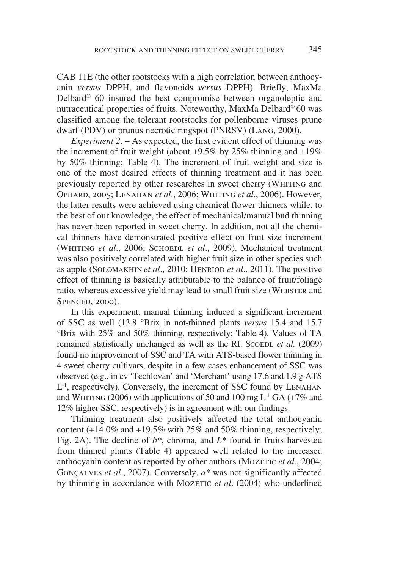CAB 11E (the other rootstocks with a high correlation between anthocyanin *versus* DPPH, and flavonoids *versus* DPPH). Briefly, MaxMa Delbard® 60 insured the best compromise between organoleptic and nutraceutical properties of fruits. Noteworthy, MaxMa Delbard® 60 was classified among the tolerant rootstocks for pollenborne viruses prune dwarf (PDV) or prunus necrotic ringspot (PNRSV) (Lang, 2000).

*Experiment 2*. – As expected, the first evident effect of thinning was the increment of fruit weight (about  $+9.5\%$  by 25% thinning and  $+19\%$ ) by 50% thinning; Table 4). The increment of fruit weight and size is one of the most desired effects of thinning treatment and it has been previously reported by other researches in sweet cherry (WHITING and Ophard, 2005; Lenahan *et al*., 2006; Whiting *et al*., 2006). However, the latter results were achieved using chemical flower thinners while, to the best of our knowledge, the effect of mechanical/manual bud thinning has never been reported in sweet cherry. In addition, not all the chemical thinners have demonstrated positive effect on fruit size increment (WHITING *et al.*, 2006; SCHOEDL *et al.*, 2009). Mechanical treatment was also positively correlated with higher fruit size in other species such as apple (Solomakhin *et al*., 2010; Henriod *et al*., 2011). The positive effect of thinning is basically attributable to the balance of fruit/foliage ratio, whereas excessive yield may lead to small fruit size (WEBSTER and SPENCED, 2000).

In this experiment, manual thinning induced a significant increment of SSC as well (13.8 °Brix in not-thinned plants *versus* 15.4 and 15.7 °Brix with 25% and 50% thinning, respectively; Table 4). Values of TA remained statistically unchanged as well as the RI. SCOEDL *et al.* (2009) found no improvement of SSC and TA with ATS-based flower thinning in 4 sweet cherry cultivars, despite in a few cases enhancement of SSC was observed (e.g., in cv 'Techlovan' and 'Merchant' using 17.6 and 1.9 g ATS  $L<sup>-1</sup>$ , respectively). Conversely, the increment of SSC found by LENAHAN and WHITING (2006) with applications of 50 and 100 mg  $L^{-1}$  GA (+7% and 12% higher SSC, respectively) is in agreement with our findings.

Thinning treatment also positively affected the total anthocyanin content  $(+14.0\%$  and  $+19.5\%$  with 25% and 50% thinning, respectively; Fig. 2A). The decline of *b\**, chroma, and *L\** found in fruits harvested from thinned plants (Table 4) appeared well related to the increased anthocyanin content as reported by other authors (Mozeric *et al.*, 2004; Gonçalves *et al*., 2007). Conversely, *a\** was not significantly affected by thinning in accordance with Mozeric *et al.* (2004) who underlined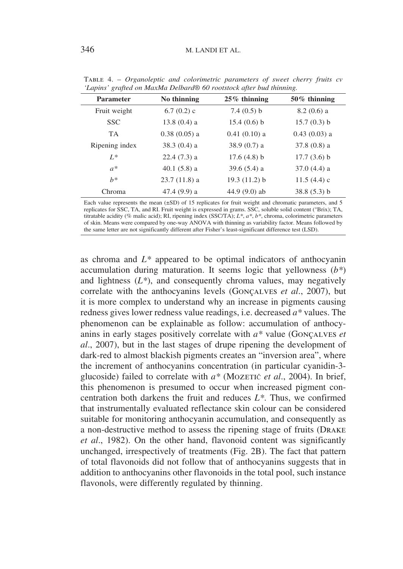| <b>Parameter</b> | No thinning    | $25\%$ thinning | $50\%$ thinning |
|------------------|----------------|-----------------|-----------------|
| Fruit weight     | $6.7(0.2)$ c   | 7.4(0.5) b      | $8.2(0.6)$ a    |
| <b>SSC</b>       | $13.8(0.4)$ a  | 15.4(0.6) b     | 15.7(0.3) b     |
| <b>TA</b>        | $0.38(0.05)$ a | $0.41(0.10)$ a  | $0.43(0.03)$ a  |
| Ripening index   | $38.3(0.4)$ a  | $38.9(0.7)$ a   | $37.8(0.8)$ a   |
| $L^*$            | $22.4(7.3)$ a  | 17.6(4.8) b     | $17.7(3.6)$ b   |
| $a^*$            | 40.1 $(5.8)$ a | $39.6(5.4)$ a   | $37.0(4.4)$ a   |
| $h^*$            | $23.7(11.8)$ a | 19.3(11.2) b    | $11.5(4.4)$ c   |
| Chroma           | 47.4 (9.9) a   | 44.9 $(9.0)$ ab | 38.8(5.3) b     |

Table 4. – *Organoleptic and colorimetric parameters of sweet cherry fruits cv 'Lapins' grafted on MaxMa Delbard® 60 rootstock after bud thinning.*

Each value represents the mean  $(\pm SD)$  of 15 replicates for fruit weight and chromatic parameters, and 5 replicates for SSC, TA, and RI. Fruit weight is expressed in grams. SSC, soluble solid content (°Brix); TA, titratable acidity (% malic acid); RI, ripening index (SSC/TA); *L\**, *a\**, *b\**, chroma, colorimetric parameters of skin. Means were compared by one-way ANOVA with thinning as variability factor. Means followed by the same letter are not significantly different after Fisher's least-significant difference test (LSD).

as chroma and *L\** appeared to be optimal indicators of anthocyanin accumulation during maturation. It seems logic that yellowness (*b\**) and lightness  $(L^*)$ , and consequently chroma values, may negatively correlate with the anthocyanins levels (Gonçalves *et al*., 2007), but it is more complex to understand why an increase in pigments causing redness gives lower redness value readings, i.e. decreased *a\** values. The phenomenon can be explainable as follow: accumulation of anthocyanins in early stages positively correlate with *a\** value (Gonçalves *et al*., 2007), but in the last stages of drupe ripening the development of dark-red to almost blackish pigments creates an "inversion area", where the increment of anthocyanins concentration (in particular cyanidin-3 glucoside) failed to correlate with  $a^*$  (Mozeric *et al.*, 2004). In brief, this phenomenon is presumed to occur when increased pigment concentration both darkens the fruit and reduces *L\**. Thus, we confirmed that instrumentally evaluated reflectance skin colour can be considered suitable for monitoring anthocyanin accumulation, and consequently as a non-destructive method to assess the ripening stage of fruits (Drake *et al*., 1982). On the other hand, flavonoid content was significantly unchanged, irrespectively of treatments (Fig. 2B). The fact that pattern of total flavonoids did not follow that of anthocyanins suggests that in addition to anthocyanins other flavonoids in the total pool, such instance flavonols, were differently regulated by thinning.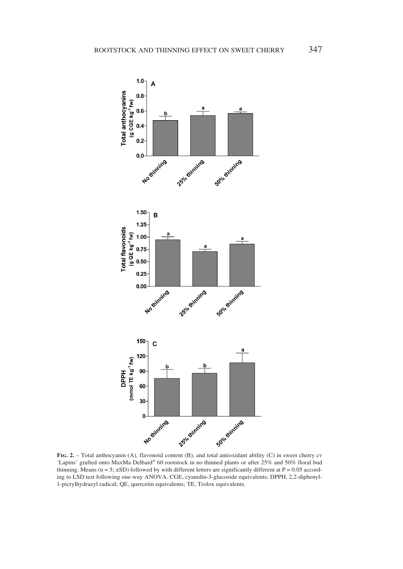

'Lapins' grafted onto MaxMa Delbard® 60 rootstock in no thinned plants or after 25% and 50% floral bud thinning. Means ( $n = 5$ ;  $\pm$ SD) followed by with different letters are significantly different at P = 0.05 according to LSD test following one-way ANOVA. CGE, cyanidin-3-glucoside equivalents; DPPH, 2,2-diphenyl-1-picrylhydrazyl radical; QE, quercetin equivalents; TE, Trolox equivalents.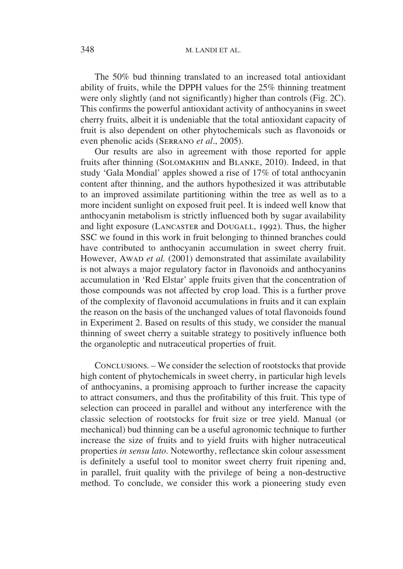The 50% bud thinning translated to an increased total antioxidant ability of fruits, while the DPPH values for the 25% thinning treatment were only slightly (and not significantly) higher than controls (Fig. 2C). This confirms the powerful antioxidant activity of anthocyanins in sweet cherry fruits, albeit it is undeniable that the total antioxidant capacity of fruit is also dependent on other phytochemicals such as flavonoids or even phenolic acids (Serrano *et al*., 2005).

Our results are also in agreement with those reported for apple fruits after thinning (Solomakhin and Blanke, 2010). Indeed, in that study 'Gala Mondial' apples showed a rise of 17% of total anthocyanin content after thinning, and the authors hypothesized it was attributable to an improved assimilate partitioning within the tree as well as to a more incident sunlight on exposed fruit peel. It is indeed well know that anthocyanin metabolism is strictly influenced both by sugar availability and light exposure (Lancaster and Dougall, 1992). Thus, the higher SSC we found in this work in fruit belonging to thinned branches could have contributed to anthocyanin accumulation in sweet cherry fruit. However, Awap *et al.* (2001) demonstrated that assimilate availability is not always a major regulatory factor in flavonoids and anthocyanins accumulation in 'Red Elstar' apple fruits given that the concentration of those compounds was not affected by crop load. This is a further prove of the complexity of flavonoid accumulations in fruits and it can explain the reason on the basis of the unchanged values of total flavonoids found in Experiment 2. Based on results of this study, we consider the manual thinning of sweet cherry a suitable strategy to positively influence both the organoleptic and nutraceutical properties of fruit.

Conclusions. – We consider the selection of rootstocks that provide high content of phytochemicals in sweet cherry, in particular high levels of anthocyanins, a promising approach to further increase the capacity to attract consumers, and thus the profitability of this fruit. This type of selection can proceed in parallel and without any interference with the classic selection of rootstocks for fruit size or tree yield. Manual (or mechanical) bud thinning can be a useful agronomic technique to further increase the size of fruits and to yield fruits with higher nutraceutical properties *in sensu lato*. Noteworthy, reflectance skin colour assessment is definitely a useful tool to monitor sweet cherry fruit ripening and, in parallel, fruit quality with the privilege of being a non-destructive method. To conclude, we consider this work a pioneering study even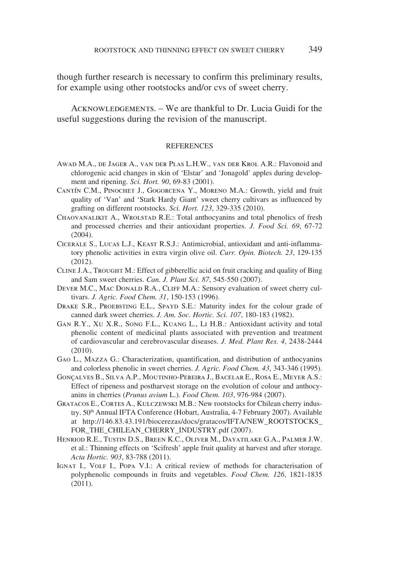though further research is necessary to confirm this preliminary results, for example using other rootstocks and/or cvs of sweet cherry.

ACKNOWLEDGEMENTS. – We are thankful to Dr. Lucia Guidi for the useful suggestions during the revision of the manuscript.

## **REFERENCES**

- Awad M.A., de Jager A., van der Plas L.H.W., van der Krol A.R.: Flavonoid and chlorogenic acid changes in skin of 'Elstar' and 'Jonagold' apples during development and ripening. *Sci. Hort. 90*, 69-83 (2001).
- Cantín C.M., Pinochet J., Gogorcena Y., Moreno M.A.: Growth, yield and fruit quality of 'Van' and 'Stark Hardy Giant' sweet cherry cultivars as influenced by grafting on different rootstocks. *Sci. Hort. 123*, 329-335 (2010).
- Chaovanalikit A., Wrolstad R.E.: Total anthocyanins and total phenolics of fresh and processed cherries and their antioxidant properties. *J. Food Sci. 69*, 67-72 (2004).
- Cicerale S., Lucas L.J., Keast R.S.J.: Antimicrobial, antioxidant and anti-inflammatory phenolic activities in extra virgin olive oil. *Curr. Opin. Biotech. 23*, 129-135 (2012).
- CLINE J.A., TROUGHT M.: Effect of gibberellic acid on fruit cracking and quality of Bing and Sam sweet cherries. *Can. J. Plant Sci. 87*, 545-550 (2007).
- DEVER M.C., MAC DONALD R.A., CLIFF M.A.: Sensory evaluation of sweet cherry cultivars. *J. Agric. Food Chem. 31*, 150-153 (1996).
- DRAKE S.R., PROEBSTING E.L., SPAYD S.E.: Maturity index for the colour grade of canned dark sweet cherries. *J. Am. Soc. Hortic. Sci. 107*, 180-183 (1982).
- Gan R.Y., Xu X.R., Song F.L., Kuang L., Li H.B.: Antioxidant activity and total phenolic content of medicinal plants associated with prevention and treatment of cardiovascular and cerebrovascular diseases. *J. Med. Plant Res. 4*, 2438-2444 (2010).
- Gao L., Mazza G.: Characterization, quantification, and distribution of anthocyanins and colorless phenolic in sweet cherries. *J. Agric. Food Chem. 43*, 343-346 (1995).
- Gonçalves B., Silva A.P., Moutinho-Pereira J., Bacelar E., Rosa E., Meyer A.S.: Effect of ripeness and postharvest storage on the evolution of colour and anthocyanins in cherries (*Prunus avium* L.). *Food Chem. 103*, 976-984 (2007).
- Gratacos E., Cortes A., Kulczewski M.B.: New rootstocks for Chilean cherry industry. 50<sup>th</sup> Annual IFTA Conference (Hobart, Australia, 4-7 February 2007). Available at http://146.83.43.191/biocerezas/docs/gratacos/IFTA/NEW\_ROOTSTOCKS\_ FOR\_THE\_CHILEAN\_CHERRY\_INDUSTRY.pdf (2007).
- Henriod R.E., Tustin D.S., Breen K.C., Oliver M., Dayatilake G.A., Palmer J.W. et al.: Thinning effects on 'Scifresh' apple fruit quality at harvest and after storage. *Acta Hortic. 903*, 83-788 (2011).
- IGNAT I., VOLF I., POPA V.I.: A critical review of methods for characterisation of polyphenolic compounds in fruits and vegetables. *Food Chem. 126*, 1821-1835 (2011).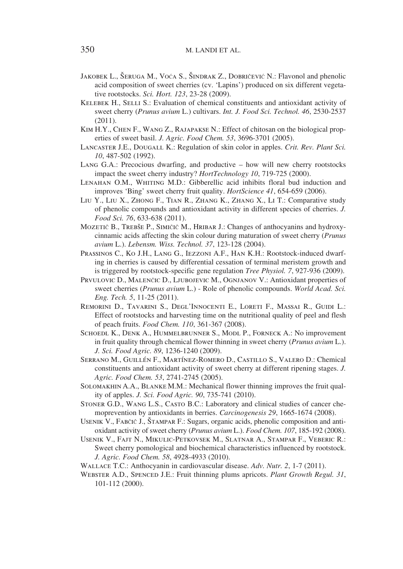- Jakobek L., Šeruga M., Voća S., Šindrak Z., Dobričević N.: Flavonol and phenolic acid composition of sweet cherries (cv. 'Lapins') produced on six different vegetative rootstocks. *Sci. Hort. 123*, 23-28 (2009).
- KELEBEK H., SELLI S.: Evaluation of chemical constituents and antioxidant activity of sweet cherry (*Prunus avium* L.) cultivars. *Int. J. Food Sci. Technol. 46*, 2530-2537 (2011).
- Kim H.Y., Chen F., Wang Z., Rajapakse N.: Effect of chitosan on the biological properties of sweet basil. *J. Agric. Food Chem. 53*, 3696-3701 (2005).
- Lancaster J.E., Dougall K.: Regulation of skin color in apples. *Crit. Rev. Plant Sci. 10*, 487-502 (1992).
- Lang G.A.: Precocious dwarfing, and productive how will new cherry rootstocks impact the sweet cherry industry? *HortTechnology 10*, 719-725 (2000).
- Lenahan O.M., Whiting M.D.: Gibberellic acid inhibits floral bud induction and improves 'Bing' sweet cherry fruit quality. *HortScience 41*, 654-659 (2006).
- Liu Y., Liu X., Zhong F., Tian R., Zhang K., Zhang X., Li T.: Comparative study of phenolic compounds and antioxidant activity in different species of cherries. *J. Food Sci. 76*, 633-638 (2011).
- Mozetič B., Trebše P., Simičič M., Hribar J.: Changes of anthocyanins and hydroxycinnamic acids affecting the skin colour during maturation of sweet cherry (*Prunus avium* L.). *Lebensm. Wiss. Technol. 37*, 123-128 (2004).
- Prassinos C., Ko J.H., Lang G., Iezzoni A.F., Han K.H.: Rootstock-induced dwarfing in cherries is caused by differential cessation of terminal meristem growth and is triggered by rootstock-specific gene regulation *Tree Physiol. 7*, 927-936 (2009).
- PRVULOVIC D., MALENČIC D., LJUBOJEVIC M., OGNJANOV V.: Antioxidant properties of sweet cherries (*Prunus avium* L.) - Role of phenolic compounds. *World Acad. Sci. Eng. Tech. 5*, 11-25 (2011).
- Remorini D., Tavarini S., Degl'Innocenti E., Loreti F., Massai R., Guidi L.: Effect of rootstocks and harvesting time on the nutritional quality of peel and flesh of peach fruits. *Food Chem. 110*, 361-367 (2008).
- SCHOEDL K., DENK A., HUMMELBRUNNER S., MODL P., FORNECK A.: No improvement in fruit quality through chemical flower thinning in sweet cherry (*Prunus avium* L.). *J. Sci. Food Agric. 89*, 1236-1240 (2009).
- Serrano M., Guillén F., Martínez-Romero D., Castillo S., Valero D.: Chemical constituents and antioxidant activity of sweet cherry at different ripening stages. *J. Agric. Food Chem. 53*, 2741-2745 (2005).
- Solomakhin A.A., Blanke M.M.: Mechanical flower thinning improves the fruit quality of apples. *J. Sci. Food Agric. 90*, 735-741 (2010).
- Stoner G.D., Wang L.S., Casto B.C.: Laboratory and clinical studies of cancer chemoprevention by antioxidants in berries. *Carcinogenesis 29*, 1665-1674 (2008).
- Usenik V., Fabčič J., Štampar F.: Sugars, organic acids, phenolic composition and antioxidant activity of sweet cherry (*Prunus avium* L.). *Food Chem. 107*, 185-192 (2008).
- Usenik V., Fajt N., Mikulic-Petkovsek M., Slatnar A., Stampar F., Veberic R.: Sweet cherry pomological and biochemical characteristics influenced by rootstock. *J. Agric. Food Chem. 58*, 4928-4933 (2010).
- Wallace T.C.: Anthocyanin in cardiovascular disease. *Adv. Nutr. 2*, 1-7 (2011).
- Webster A.D., Spenced J.E.: Fruit thinning plums apricots. *Plant Growth Regul. 31*, 101-112 (2000).